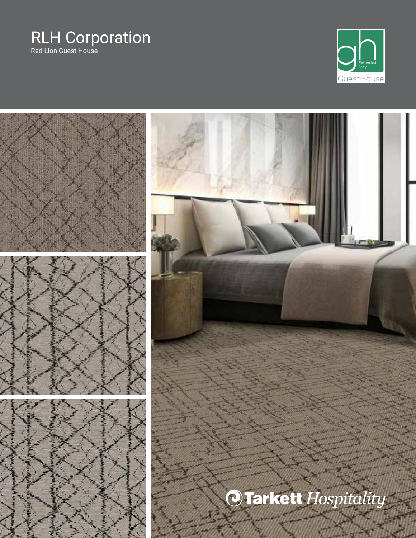#### RLH Corporation Red Lion Guest House

 $\sum_{\substack{\text{Extended}\\ \text{Stay}}}$  $\bigcirc$ GuestHouse

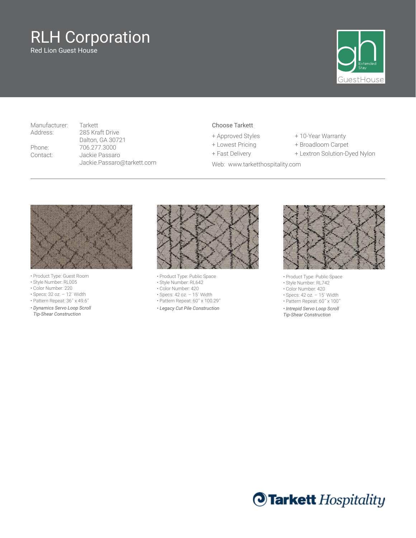Red Lion Guest House



Manufacturer: Tarkett

Address: 285 Kraft Drive Dalton, GA 30721 Phone: 706.277.3000 Contact: Jackie Passaro Jackie.Passaro@tarkett.com

#### Choose Tarkett

- 
- 
- 
- Web: www.tarketthospitality.com
- + Approved Styles + 10-Year Warranty
- + Lowest Pricing + Broadloom Carpet
- + Fast Delivery + Lextron Solution-Dyed Nylon



- Product Type: Guest Room
- Style Number: RL005
- Color Number: 220
- Specs: 32 oz. 12´ Width
- Pattern Repeat: 36˝ x 49.6˝
- *Dynamics Servo Loop Scroll Tip-Shear Construction*



- Product Type: Public Space
- Style Number: RL642
- Color Number: 420
- Specs: 42 oz. 15´ Width
- Pattern Repeat: 60˝ x 100.29˝
- *Legacy Cut Pile Construction*



• Product Type: Public Space

- Style Number: RL742
- Color Number: 420
- Specs: 42 oz. 15´ Width
- Pattern Repeat: 60˝ x 100˝
- *Intrepid Servo Loop Scroll*
- *Tip-Shear Construction*

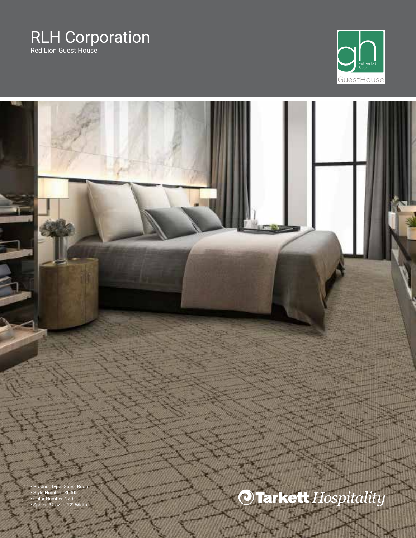Red Lion Guest House



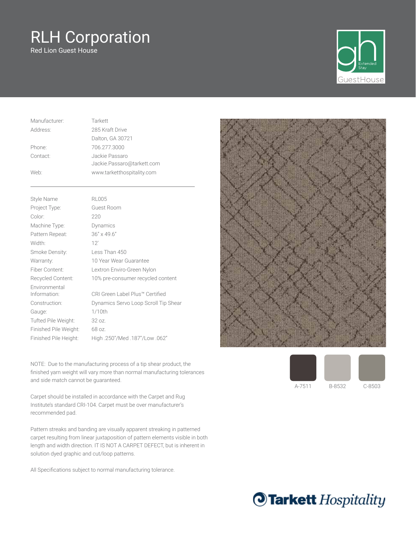Red Lion Guest House



| Manufacturer: | Tarkett                                      |
|---------------|----------------------------------------------|
| Address:      | 285 Kraft Drive                              |
|               | Dalton, GA 30721                             |
| Phone:        | 706.277.3000                                 |
| Contact:      | Jackie Passaro<br>Jackie.Passaro@tarkett.com |
| Web:          | www.tarketthospitality.com                   |
|               |                                              |

| Style Name                    | <b>RL005</b>                         |
|-------------------------------|--------------------------------------|
| Project Type:                 | Guest Room                           |
| Color:                        | 220                                  |
| Machine Type:                 | Dynamics                             |
| Pattern Repeat:               | $36'' \times 49.6''$                 |
| Width:                        | 12'                                  |
| Smoke Density:                | Less Than 450                        |
| Warranty:                     | 10 Year Wear Guarantee               |
| Fiber Content:                | Lextron Enviro-Green Nylon           |
| Recycled Content:             | 10% pre-consumer recycled content    |
| Environmental<br>Information: | CRI Green Label Plus™ Certified      |
| Construction:                 | Dynamics Servo Loop Scroll Tip Shear |
| Gauge:                        | $1/10$ th                            |
| Tufted Pile Weight:           | 32 oz.                               |
| Finished Pile Weight:         | 68 oz.                               |
| Finished Pile Height:         | High.250"/Med.187"/Low.062"          |

NOTE: Due to the manufacturing process of a tip shear product, the finished yarn weight will vary more than normal manufacturing tolerances and side match cannot be guaranteed.

Carpet should be installed in accordance with the Carpet and Rug Institute's standard CRI-104. Carpet must be over manufacturer's recommended pad.

Pattern streaks and banding are visually apparent streaking in patterned carpet resulting from linear juxtaposition of pattern elements visible in both length and width direction. IT IS NOT A CARPET DEFECT, but is inherent in solution dyed graphic and cut/loop patterns.

All Specifications subject to normal manufacturing tolerance.





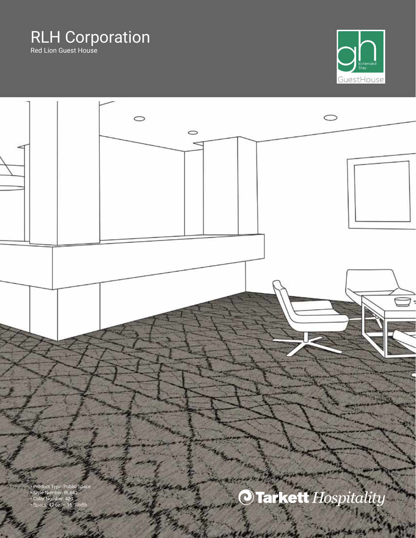Red Lion Guest House



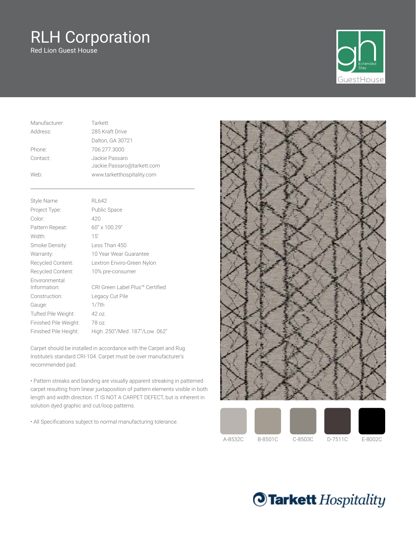Red Lion Guest House



| Manufacturer: | Tarkett                    |
|---------------|----------------------------|
| Address:      | 285 Kraft Drive            |
|               | Dalton, GA 30721           |
| Phone:        | 706.277.3000               |
| Contact:      | Jackie Passaro             |
|               | Jackie.Passaro@tarkett.com |
| Web:          | www.tarketthospitality.com |

| Style Name                    | RL 642                          |
|-------------------------------|---------------------------------|
| Project Type:                 | Public Space                    |
| Color:                        | 420                             |
| Pattern Repeat:               | 60" x 100.29"                   |
| Width:                        | 15'                             |
| Smoke Density:                | Less Than 450                   |
| Warranty:                     | 10 Year Wear Guarantee          |
| Recycled Content:             | Lextron Enviro-Green Nylon      |
| Recycled Content:             | 10% pre-consumer                |
| Environmental<br>Information: | CRI Green Label Plus™ Certified |
| Construction:                 | Legacy Cut Pile                 |
| Gauge:                        | 1/7th                           |
| Tufted Pile Weight:           | 42 oz.                          |
| Finished Pile Weight:         | 78 oz.                          |
| Finished Pile Height:         | "062. High .250"/Med .187"/Low  |

Carpet should be installed in accordance with the Carpet and Rug Institute's standard CRI-104. Carpet must be over manufacturer's recommended pad.

• Pattern streaks and banding are visually apparent streaking in patterned carpet resulting from linear juxtaposition of pattern elements visible in both length and width direction. IT IS NOT A CARPET DEFECT, but is inherent in solution dyed graphic and cut/loop patterns.

• All Specifications subject to normal manufacturing tolerance.





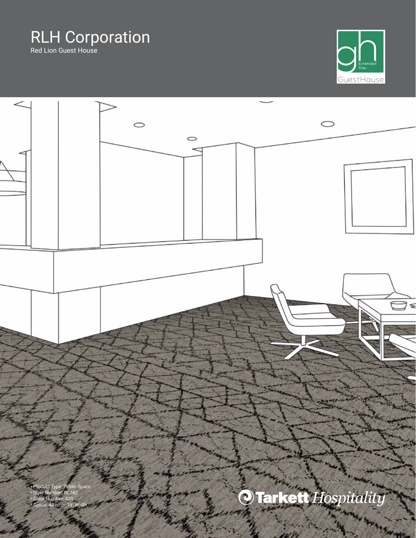Red Lion Guest House